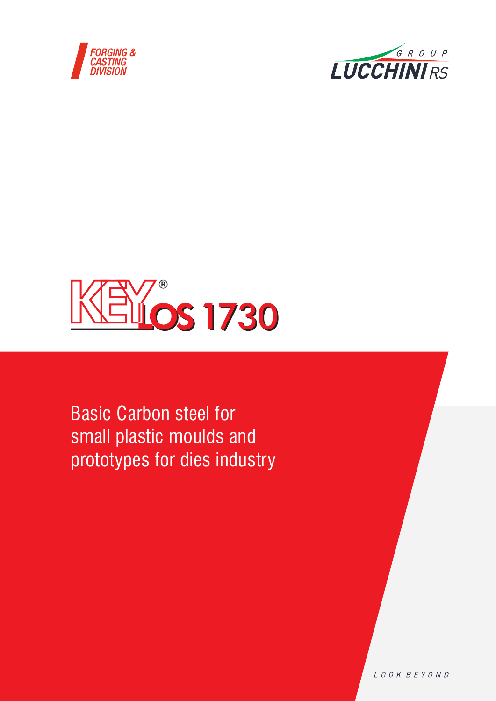





Basic Carbon steel for small plastic moulds and prototypes for dies industry

LOOK BEYOND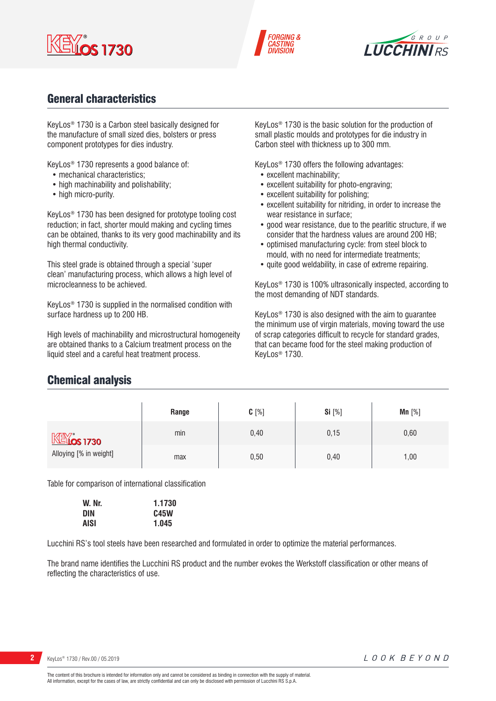





# General characteristics

KeyLos® 1730 is a Carbon steel basically designed for the manufacture of small sized dies, bolsters or press component prototypes for dies industry.

KeyLos® 1730 represents a good balance of:

- mechanical characteristics;
- high machinability and polishability;
- high micro-purity.

KeyLos® 1730 has been designed for prototype tooling cost reduction; in fact, shorter mould making and cycling times can be obtained, thanks to its very good machinability and its high thermal conductivity.

This steel grade is obtained through a special 'super clean' manufacturing process, which allows a high level of microcleanness to be achieved.

KeyLos® 1730 is supplied in the normalised condition with surface hardness up to 200 HB.

High levels of machinability and microstructural homogeneity are obtained thanks to a Calcium treatment process on the liquid steel and a careful heat treatment process.

KeyLos® 1730 is the basic solution for the production of small plastic moulds and prototypes for die industry in Carbon steel with thickness up to 300 mm.

KeyLos® 1730 offers the following advantages:

• excellent machinability;

- excellent suitability for photo-engraving;
- excellent suitability for polishing;
- excellent suitability for nitriding, in order to increase the wear resistance in surface;
- good wear resistance, due to the pearlitic structure, if we consider that the hardness values are around 200 HB;
- optimised manufacturing cycle: from steel block to mould, with no need for intermediate treatments;
- quite good weldability, in case of extreme repairing.

KeyLos® 1730 is 100% ultrasonically inspected, according to the most demanding of NDT standards.

KeyLos® 1730 is also designed with the aim to guarantee the minimum use of virgin materials, moving toward the use of scrap categories difficult to recycle for standard grades, that can became food for the steel making production of KeyLos® 1730.

# Chemical analysis

|                        | Range | $C[\%]$ | Si [%] | $Mn$ [%] |
|------------------------|-------|---------|--------|----------|
| $M*$ 1730              | min   | 0,40    | 0, 15  | 0,60     |
| Alloying [% in weight] | max   | 0,50    | 0,40   | 1,00     |

Table for comparison of international classification

| W. Nr. | 1.1730      |
|--------|-------------|
| DIN    | <b>C45W</b> |
| AISI   | 1.045       |

Lucchini RS's tool steels have been researched and formulated in order to optimize the material performances.

The brand name identifies the Lucchini RS product and the number evokes the Werkstoff classification or other means of reflecting the characteristics of use.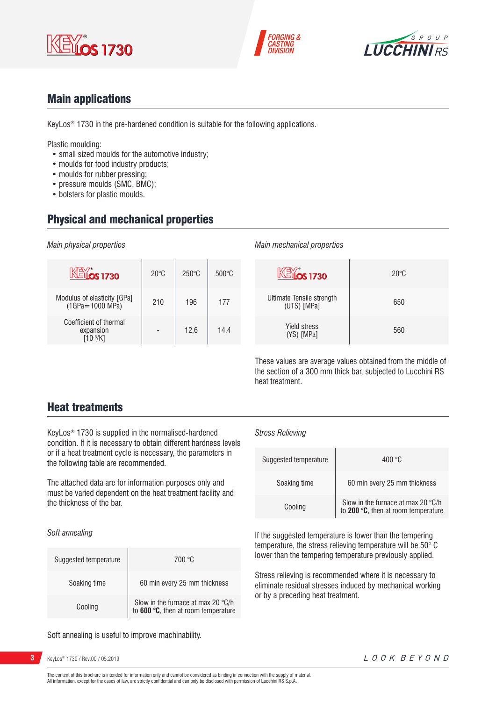





# Main applications

KeyLos® 1730 in the pre-hardened condition is suitable for the following applications.

Plastic moulding:

- small sized moulds for the automotive industry;
- moulds for food industry products;
- moulds for rubber pressing;
- pressure moulds (SMC, BMC);
- bolsters for plastic moulds.

# Physical and mechanical properties

*Main physical properties*

| <b>LOS 1730</b>                                                | $20^{\circ}$ C | $250^\circ C$ | $500^{\circ}$ C |
|----------------------------------------------------------------|----------------|---------------|-----------------|
| Modulus of elasticity [GPa]<br>(1GPa=1000 MPa)                 | 210            | 196           | 177             |
| Coefficient of thermal<br>expansion<br>$110-6$ /K <sub>1</sub> |                | 12.6          | 14.4            |

### *Main mechanical properties*

| <u>UEVIOS 1730</u>                       | $20^{\circ}$ C |
|------------------------------------------|----------------|
| Ultimate Tensile strength<br>(UTS) [MPa] | 650            |
| <b>Yield stress</b><br>(YS) [MPa]        | 560            |

These values are average values obtained from the middle of the section of a 300 mm thick bar, subjected to Lucchini RS heat treatment.

# Heat treatments

KeyLos® 1730 is supplied in the normalised-hardened condition. If it is necessary to obtain different hardness levels or if a heat treatment cycle is necessary, the parameters in the following table are recommended.

The attached data are for information purposes only and must be varied dependent on the heat treatment facility and the thickness of the bar.

*Soft annealing*

| Suggested temperature | 700 °C                                                                             |
|-----------------------|------------------------------------------------------------------------------------|
| Soaking time          | 60 min every 25 mm thickness                                                       |
| Cooling               | Slow in the furnace at max 20 $\degree$ C/h<br>to 600 °C, then at room temperature |

Soft annealing is useful to improve machinability.

**3** KeyLos® 1730 / Rev.00 / 05.2019

### *Stress Relieving*

| Suggested temperature | 400 $\degree$ C                                                           |
|-----------------------|---------------------------------------------------------------------------|
| Soaking time          | 60 min every 25 mm thickness                                              |
| Cooling               | Slow in the furnace at max 20 °C/h<br>to 200 °C, then at room temperature |

If the suggested temperature is lower than the tempering temperature, the stress relieving temperature will be 50° C lower than the tempering temperature previously applied.

Stress relieving is recommended where it is necessary to eliminate residual stresses induced by mechanical working or by a preceding heat treatment.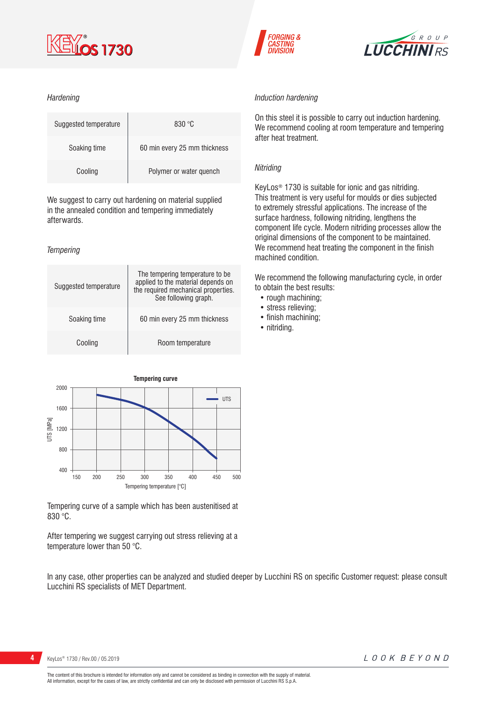

### *Hardening*

| Suggested temperature | 830 °C                       |
|-----------------------|------------------------------|
| Soaking time          | 60 min every 25 mm thickness |
| Cooling               | Polymer or water quench      |

We suggest to carry out hardening on material supplied in the annealed condition and tempering immediately afterwards.

#### *Tempering*





Tempering curve of a sample which has been austenitised at 830 °C.

After tempering we suggest carrying out stress relieving at a temperature lower than 50 °C.

In any case, other properties can be analyzed and studied deeper by Lucchini RS on specific Customer request: please consult Lucchini RS specialists of MET Department.



### *Induction hardening*

ORGING &

ASTING

On this steel it is possible to carry out induction hardening. We recommend cooling at room temperature and tempering after heat treatment.

### *Nitriding*

KeyLos® 1730 is suitable for ionic and gas nitriding. This treatment is very useful for moulds or dies subjected to extremely stressful applications. The increase of the surface hardness, following nitriding, lengthens the component life cycle. Modern nitriding processes allow the original dimensions of the component to be maintained. We recommend heat treating the component in the finish machined condition.

We recommend the following manufacturing cycle, in order to obtain the best results:

- rough machining;
- stress relieving;
- finish machining;
- nitriding.

**4** KeyLos® 1730 / Rev.00 / 05.2019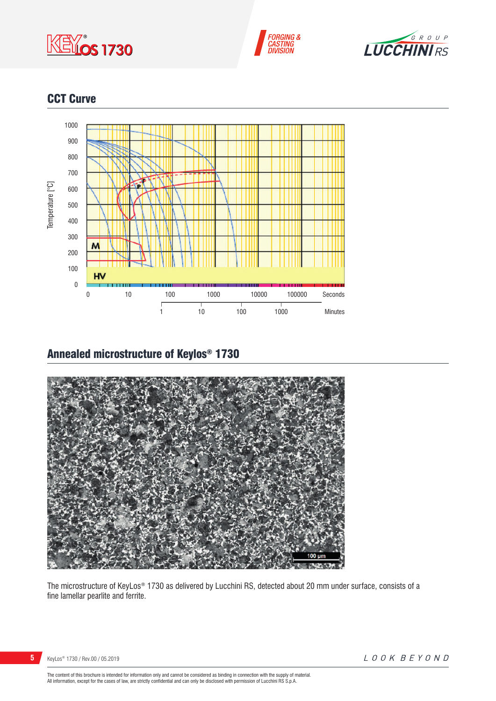





# CCT Curve



# Annealed microstructure of Keylos® 1730



The microstructure of KeyLos® 1730 as delivered by Lucchini RS, detected about 20 mm under surface, consists of a fine lamellar pearlite and ferrite.

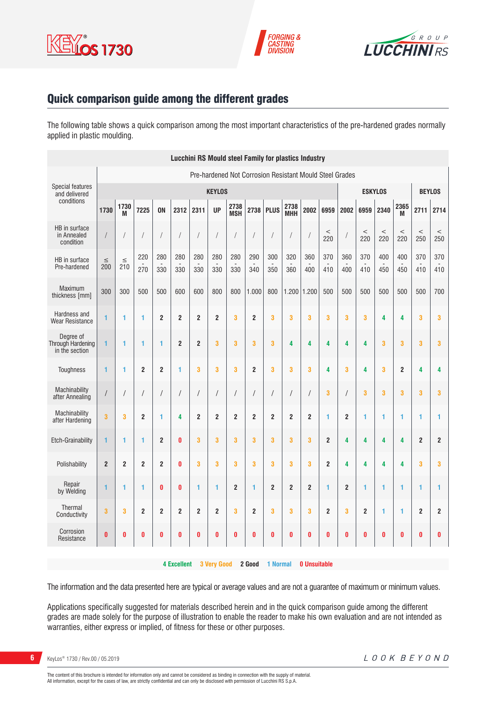





# Quick comparison guide among the different grades

The following table shows a quick comparison among the most important characteristics of the pre-hardened grades normally applied in plastic moulding.

|                                                         | <b>Lucchini RS Mould steel Family for plastics Industry</b> |                |                |                |                    |                         |                    |                    |                |                |                      |                     |                |                |                |              |                |                |                |
|---------------------------------------------------------|-------------------------------------------------------------|----------------|----------------|----------------|--------------------|-------------------------|--------------------|--------------------|----------------|----------------|----------------------|---------------------|----------------|----------------|----------------|--------------|----------------|----------------|----------------|
| Pre-hardened Not Corrosion Resistant Mould Steel Grades |                                                             |                |                |                |                    |                         |                    |                    |                |                |                      |                     |                |                |                |              |                |                |                |
| <b>Special features</b><br>and delivered                |                                                             | <b>KEYLOS</b>  |                |                |                    |                         |                    |                    |                |                |                      | <b>ESKYLOS</b>      |                | <b>BEYLOS</b>  |                |              |                |                |                |
| conditions                                              | 1730                                                        | 1730<br>M      | 7225           | <b>ON</b>      | 2312               | 2311                    | <b>UP</b>          | 2738<br><b>MSH</b> | 2738           | <b>PLUS</b>    | 2738<br>MHH          | 2002                | 6959           | 2002           | 6959           | 2340         | 2365<br>M      | 2711           | 2714           |
| HB in surface<br>in Annealed<br>condition               |                                                             |                |                | $\overline{1}$ | $\sqrt{2}$         | $\bigg)$                | $\prime$           | $\sqrt{2}$         | $\sqrt{2}$     | $\sqrt{ }$     |                      |                     | $\,<$<br>220   |                | $\,<$<br>220   | $\,<$<br>220 | $\,<$<br>220   | $\,<$<br>250   | $\,<$<br>250   |
| HB in surface<br>Pre-hardened                           | $\leq$<br>200                                               | $\leq$<br>210  | 220<br>270     | 280<br>330     | 280<br>330         | 280<br>330              | 280<br>330         | 280<br>330         | 290<br>340     | 300<br>350     | 320<br>360           | 360<br>400          | 370<br>410     | 360<br>400     | 370<br>410     | 400<br>450   | 400<br>450     | 370<br>410     | 370<br>410     |
| Maximum<br>thickness [mm]                               | 300                                                         | 300            | 500            | 500            | 600                | 600                     | 800                | 800                | 1.000          | 800            | 1.200                | 1.200               | 500            | 500            | 500            | 500          | 500            | 500            | 700            |
| Hardness and<br><b>Wear Resistance</b>                  | 1                                                           | 1              | 1              | $\overline{2}$ | $\overline{2}$     | $\overline{2}$          | $\overline{2}$     | 3                  | $\overline{2}$ | 3              | 3                    | 3                   | 3              | 3              | 3              | 4            | 4              | 3              | 3              |
| Degree of<br><b>Through Hardening</b><br>in the section | 1                                                           | 1              | 1              | 1              | $\boldsymbol{2}$   | $\overline{\mathbf{c}}$ | 3                  | 3                  | 3              | 3              | 4                    | 4                   | 4              | 4              | 4              | 3            | 3              | 3              | 3              |
| Toughness                                               | 1                                                           | 1              | $\overline{2}$ | $\overline{2}$ | 1                  | 3                       | 3                  | 3                  | $\overline{2}$ | 3              | 3                    | 3                   | 4              | 3              | 4              | 3            | $\overline{2}$ | 4              | 4              |
| Machinability<br>after Annealing                        |                                                             | $\sqrt{2}$     | $\prime$       | $\sqrt{2}$     | $\sqrt{2}$         | /                       | $\prime$           | /                  | /              | $\sqrt{2}$     | $\sqrt{\phantom{a}}$ |                     | 3              | $\prime$       | 3              | 3            | 3              | 3              | 3              |
| Machinability<br>after Hardening                        | 3                                                           | 3              | $\overline{2}$ | $\mathbf{1}$   | 4                  | $\overline{2}$          | $\overline{2}$     | $\overline{2}$     | $\overline{2}$ | $\overline{2}$ | $\overline{2}$       | $\overline{2}$      | 1              | $\overline{2}$ | 1              | 1            | 1              | 1              | 1              |
| <b>Etch-Grainability</b>                                | 1                                                           | 1              | 1              | $\overline{2}$ | $\mathbf{0}$       | 3                       | 3                  | 3                  | 3              | 3              | 3                    | 3                   | $\overline{2}$ | 4              | 4              | 4            | 4              | $\overline{2}$ | 2              |
| Polishability                                           | $\overline{2}$                                              | $\overline{2}$ | $\overline{2}$ | $\overline{2}$ | $\bf{0}$           | 3                       | 3                  | 3                  | 3              | 3              | 3                    | 3                   | $\overline{2}$ | 4              | 4              | 4            | 4              | 3              | 3              |
| Repair<br>by Welding                                    | 1                                                           | 1              | 1              | $\bf{0}$       | $\bf{0}$           | 1                       | 1                  | $\overline{2}$     | $\mathbf{1}$   | $\overline{2}$ | $\overline{2}$       | $\overline{2}$      | 1              | $\overline{2}$ | 1              | 1            | 1              | 1              | 1              |
| <b>Thermal</b><br>Conductivity                          | 3                                                           | 3              | $\overline{2}$ | $\overline{2}$ | $\overline{2}$     | $\overline{2}$          | $\overline{2}$     | 3                  | $\overline{2}$ | 3              | 3                    | 3                   | $\overline{2}$ | 3              | $\overline{2}$ | 1            | 1              | $\overline{2}$ | $\overline{2}$ |
| Corrosion<br>Resistance                                 | 0                                                           | 0              | 0              | 0              | $\bf{0}$           | $\bf{0}$                | 0                  | 0                  | $\bf{0}$       | 0              | $\bf{0}$             | 0                   | $\bf{0}$       | 0              | $\bf{0}$       | $\bf{0}$     | $\bf{0}$       | $\bf{0}$       | 0              |
|                                                         |                                                             |                |                |                | <b>4 Excellent</b> |                         | <b>3 Very Good</b> |                    | 2 Good         | 1 Normal       |                      | <b>0 Unsuitable</b> |                |                |                |              |                |                |                |

The information and the data presented here are typical or average values and are not a guarantee of maximum or minimum values.

Applications specifically suggested for materials described herein and in the quick comparison guide among the different grades are made solely for the purpose of illustration to enable the reader to make his own evaluation and are not intended as warranties, either express or implied, of fitness for these or other purposes.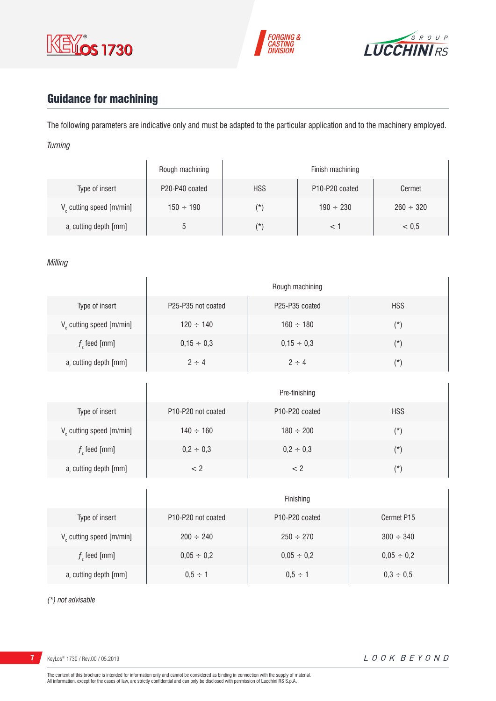





# Guidance for machining

The following parameters are indicative only and must be adapted to the particular application and to the machinery employed. *Turning*

|                         | Rough machining | Finish machining |                                         |                |  |  |  |
|-------------------------|-----------------|------------------|-----------------------------------------|----------------|--|--|--|
| Type of insert          | P20-P40 coated  | <b>HSS</b>       | P <sub>10</sub> -P <sub>20</sub> coated | Cermet         |  |  |  |
| V cutting speed [m/min] | $150 \div 190$  | (*`              | $190 \div 230$                          | $260 \div 320$ |  |  |  |
| a, cutting depth [mm]   |                 | (*`              |                                         | < 0.5          |  |  |  |

### *Milling*

|                             | Rough machining    |                                         |            |  |  |  |  |  |
|-----------------------------|--------------------|-----------------------------------------|------------|--|--|--|--|--|
| Type of insert              | P25-P35 not coated | P <sub>25</sub> -P <sub>35</sub> coated | <b>HSS</b> |  |  |  |  |  |
| $V_c$ cutting speed [m/min] | $120 \div 140$     | $160 \div 180$                          | $(\star)$  |  |  |  |  |  |
| $fz$ feed [mm]              | $0,15 \div 0,3$    | $0,15 \div 0,3$                         | $(\star)$  |  |  |  |  |  |
| $ar$ cutting depth [mm]     | $2 \div 4$         | $2 \div 4$                              | $(\star)$  |  |  |  |  |  |

|                         | Pre-finishing                                      |                                         |            |  |  |  |  |  |
|-------------------------|----------------------------------------------------|-----------------------------------------|------------|--|--|--|--|--|
| Type of insert          | P <sub>10</sub> -P <sub>20</sub> not coated        | P <sub>10</sub> -P <sub>20</sub> coated | <b>HSS</b> |  |  |  |  |  |
| V cutting speed [m/min] | $140 \div 160$                                     | $180 \div 200$                          | (*)        |  |  |  |  |  |
| $f$ , feed [mm]         | $0,2 \div 0,3$                                     | $0,2 \div 0,3$                          | $(\star)$  |  |  |  |  |  |
| a, cutting depth [mm]   | </td <td>&lt; 2</td> <td><math>(\star)</math></td> | < 2                                     | $(\star)$  |  |  |  |  |  |

|                                      | Finishing                                   |                                         |                 |  |  |
|--------------------------------------|---------------------------------------------|-----------------------------------------|-----------------|--|--|
| Type of insert                       | P <sub>10</sub> -P <sub>20</sub> not coated | P <sub>10</sub> -P <sub>20</sub> coated | Cermet P15      |  |  |
| V <sub>c</sub> cutting speed [m/min] | $200 \div 240$                              | $250 \div 270$                          | $300 \div 340$  |  |  |
| $f$ , feed [mm]                      | $0,05 \div 0,2$                             | $0,05 \div 0,2$                         | $0,05 \div 0,2$ |  |  |
| a, cutting depth [mm]                | $0.5 \div 1$                                | $0.5 \div 1$                            | $0,3 \div 0,5$  |  |  |

*(\*) not advisable*

**7** KeyLos® 1730 / Rev.00 / 05.2019

 $\overline{1}$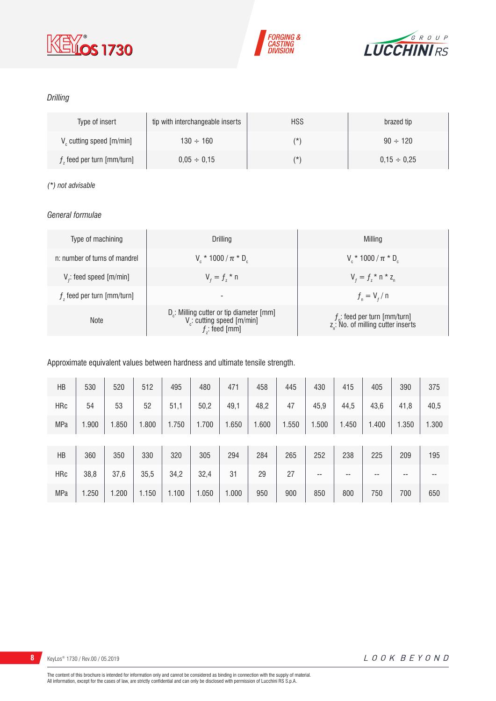





### *Drilling*

| Type of insert                       | tip with interchangeable inserts | <b>HSS</b> | brazed tip       |
|--------------------------------------|----------------------------------|------------|------------------|
| V <sub>c</sub> cutting speed [m/min] | $130 \div 160$                   | $(\star)$  | $90 \div 120$    |
| $fz$ feed per turn [mm/turn]         | $0.05 \div 0.15$                 | $(\star)$  | $0.15 \div 0.25$ |

### *(\*) not advisable*

### *General formulae*

| Type of machining             | Drilling                                                                                                 | Milling                                                                             |
|-------------------------------|----------------------------------------------------------------------------------------------------------|-------------------------------------------------------------------------------------|
| n: number of turns of mandrel | $V_r * 1000 / \pi * D_r$                                                                                 | $V_r * 1000 / \pi * D_r$                                                            |
| $V_f$ : feed speed [m/min]    | $V_{f} = f_{7}$ * n                                                                                      | $V_{f} = f_{i} * n * z_{n}$                                                         |
| $fz$ feed per turn [mm/turn]  | ۰                                                                                                        | $f_{n} = V_{f} / n$                                                                 |
| <b>Note</b>                   | $D_c$ : Milling cutter or tip diameter [mm]<br>V <sub>c</sub> : cutting speed [m/min]<br>$f$ ; feed [mm] | $f_{n}$ : feed per turn [mm/turn]<br>z <sub>n</sub> : No. of milling cutter inserts |

### Approximate equivalent values between hardness and ultimate tensile strength.

| HB         | 530   | 520   | 512   | 495   | 480   | 471   | 458   | 445   | 430   | 415   | 405   | 390   | 375   |
|------------|-------|-------|-------|-------|-------|-------|-------|-------|-------|-------|-------|-------|-------|
| <b>HRc</b> | 54    | 53    | 52    | 51,1  | 50,2  | 49,1  | 48,2  | 47    | 45,9  | 44,5  | 43,6  | 41,8  | 40,5  |
| <b>MPa</b> | 1.900 | 1.850 | 1.800 | 1.750 | 1.700 | 1.650 | 1.600 | 1.550 | 1.500 | 1.450 | 1.400 | 1.350 | 1.300 |
|            |       |       |       |       |       |       |       |       |       |       |       |       |       |
| HB         | 360   | 350   | 330   | 320   | 305   | 294   | 284   | 265   | 252   | 238   | 225   | 209   | 195   |
| <b>HRc</b> | 38,8  | 37,6  | 35,5  | 34,2  | 32,4  | 31    | 29    | 27    | --    | --    | --    | --    | --    |
| <b>MPa</b> | 1.250 | 1.200 | 1.150 | 1.100 | 1.050 | 1.000 | 950   | 900   | 850   | 800   | 750   | 700   | 650   |